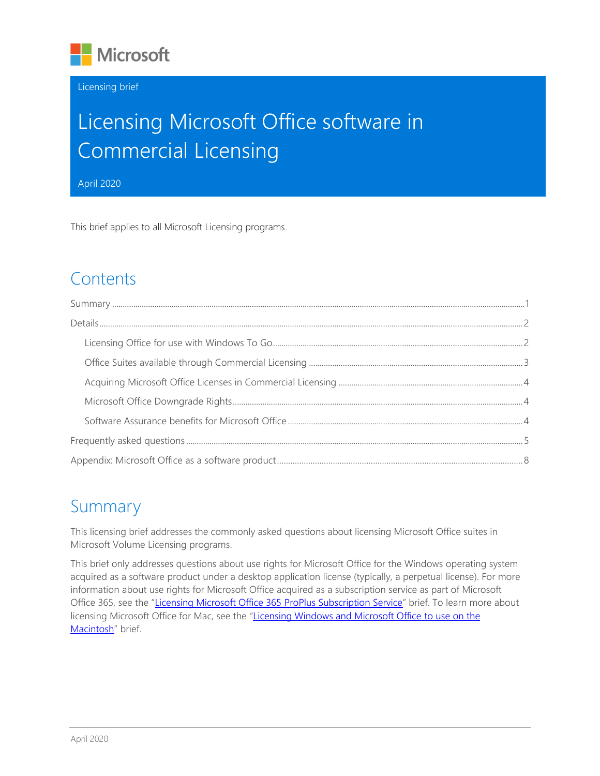

#### Licensing brief

# Licensing Microsoft Office software in Commercial Licensing

April 2020

This brief applies to all Microsoft Licensing programs.

## **Contents**

## <span id="page-0-0"></span>Summary

This licensing brief addresses the commonly asked questions about licensing Microsoft Office suites in Microsoft Volume Licensing programs.

This brief only addresses questions about use rights for Microsoft Office for the Windows operating system acquired as a software product under a desktop application license (typically, a perpetual license). For more information about use rights for Microsoft Office acquired as a subscription service as part of Microsoft Office 365, see the "[Licensing Microsoft Office 365](https://download.microsoft.com/download/3/D/4/3D42BDC2-6725-4B29-B75A-A5B04179958B/Licensing_Office365_ProPlus_in_Volume_Licensing.pdf) ProPlus Subscription Service" brief. To learn more about licensing Microsoft Office for Mac, see the "[Licensing Windows and Microsoft Office to use on the](https://download.microsoft.com/download/3/d/4/3d42bdc2-6725-4b29-b75a-a5b04179958b/licensing_windows_and_office_with_mac.pdf)  [Macintosh](https://download.microsoft.com/download/3/d/4/3d42bdc2-6725-4b29-b75a-a5b04179958b/licensing_windows_and_office_with_mac.pdf)" brief.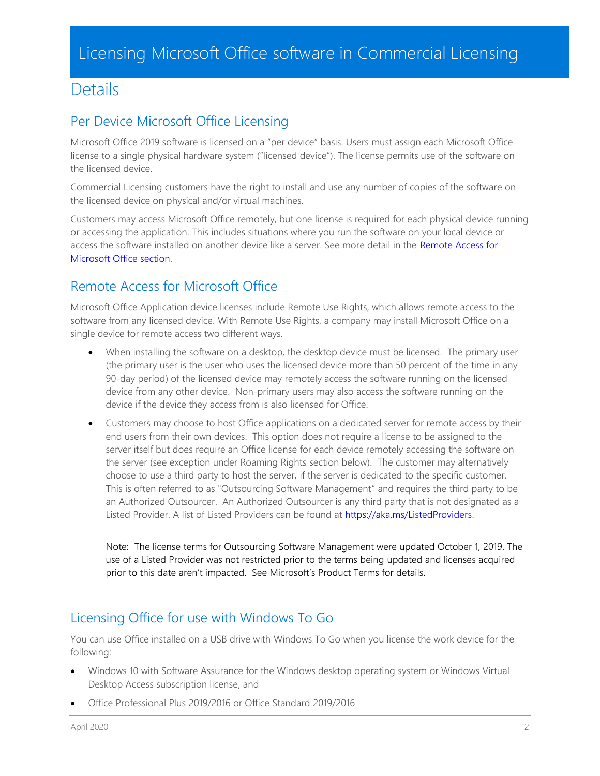### <span id="page-1-0"></span>**Details**

### Per Device Microsoft Office Licensing

Microsoft Office 2019 software is licensed on a "per device" basis. Users must assign each Microsoft Office license to a single physical hardware system ("licensed device"). The license permits use of the software on the licensed device.

Commercial Licensing customers have the right to install and use any number of copies of the software on the licensed device on physical and/or virtual machines.

Customers may access Microsoft Office remotely, but one license is required for each physical device running or accessing the application. This includes situations where you run the software on your local device or access the software installed on another device like a server. See more detail in the Remote Access for [Microsoft Office section.](#page-1-2)

### <span id="page-1-2"></span>Remote Access for Microsoft Office

Microsoft Office Application device licenses include Remote Use Rights, which allows remote access to the software from any licensed device. With Remote Use Rights, a company may install Microsoft Office on a single device for remote access two different ways.

- When installing the software on a desktop, the desktop device must be licensed. The primary user (the primary user is the user who uses the licensed device more than 50 percent of the time in any 90-day period) of the licensed device may remotely access the software running on the licensed device from any other device. Non-primary users may also access the software running on the device if the device they access from is also licensed for Office.
- Customers may choose to host Office applications on a dedicated server for remote access by their end users from their own devices. This option does not require a license to be assigned to the server itself but does require an Office license for each device remotely accessing the software on the server (see exception under Roaming Rights section below). The customer may alternatively choose to use a third party to host the server, if the server is dedicated to the specific customer. This is often referred to as "Outsourcing Software Management" and requires the third party to be an Authorized Outsourcer. An Authorized Outsourcer is any third party that is not designated as a Listed Provider. A list of Listed Providers can be found at [https://aka.ms/ListedProviders.](https://aka.ms/ListedProviders)

Note: The license terms for Outsourcing Software Management were updated October 1, 2019. The use of a Listed Provider was not restricted prior to the terms being updated and licenses acquired prior to this date aren't impacted. See Microsoft's Product Terms for details.

### <span id="page-1-1"></span>Licensing Office for use with Windows To Go

You can use Office installed on a USB drive with Windows To Go when you license the work device for the following:

- Windows 10 with Software Assurance for the Windows desktop operating system or Windows Virtual Desktop Access subscription license, and
- Office Professional Plus 2019/2016 or Office Standard 2019/2016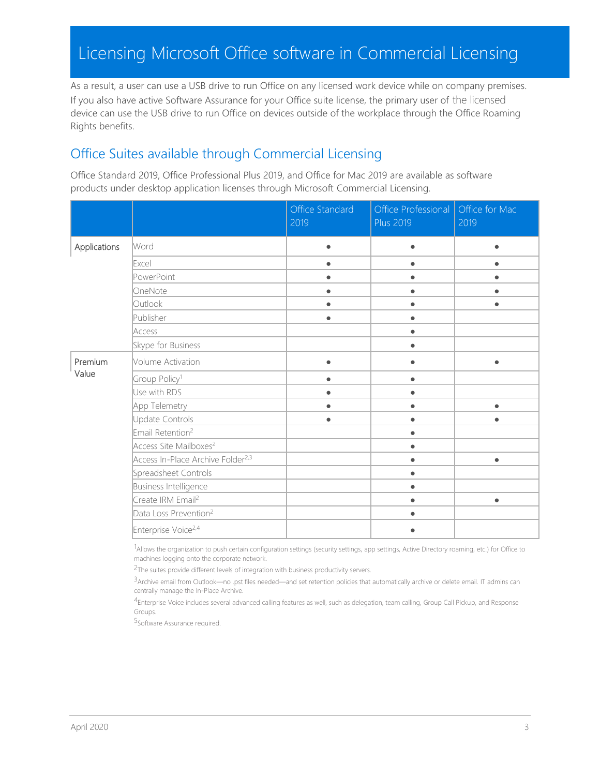As a result, a user can use a USB drive to run Office on any licensed work device while on company premises. If you also have active Software Assurance for your Office suite license, the primary user of the licensed device can use the USB drive to run Office on devices outside of the workplace through the Office Roaming Rights benefits.

### <span id="page-2-0"></span>Office Suites available through Commercial Licensing

Office Standard 2019, Office Professional Plus 2019, and Office for Mac 2019 are available as software products under desktop application licenses through Microsoft Commercial Licensing.

|              |                                               | Office Standard<br>2019 | Office Professional<br><b>Plus 2019</b> | Office for Mac<br>2019 |
|--------------|-----------------------------------------------|-------------------------|-----------------------------------------|------------------------|
| Applications | Word                                          | $\bullet$               | $\bullet$                               | $\bullet$              |
|              | Excel                                         | $\bullet$               | $\bullet$                               |                        |
|              | PowerPoint                                    |                         |                                         |                        |
|              | OneNote                                       |                         |                                         |                        |
|              | Outlook                                       |                         |                                         |                        |
|              | Publisher                                     | $\bullet$               | $\bullet$                               |                        |
|              | Access                                        |                         |                                         |                        |
|              | Skype for Business                            |                         | $\bullet$                               |                        |
| Premium      | Volume Activation                             |                         |                                         |                        |
| Value        | Group Policy <sup>1</sup>                     | $\bullet$               | $\bullet$                               |                        |
|              | Use with RDS                                  | $\bullet$               | $\bullet$                               |                        |
|              | App Telemetry                                 |                         | $\bullet$                               | $\bullet$              |
|              | Update Controls                               | $\bullet$               | $\bullet$                               | $\bullet$              |
|              | Email Retention <sup>2</sup>                  |                         | $\bullet$                               |                        |
|              | Access Site Mailboxes <sup>2</sup>            |                         | $\bullet$                               |                        |
|              | Access In-Place Archive Folder <sup>2,3</sup> |                         | $\bullet$                               | $\bullet$              |
|              | Spreadsheet Controls                          |                         | $\bullet$                               |                        |
|              | Business Intelligence                         |                         | $\bullet$                               |                        |
|              | Create IRM Email <sup>2</sup>                 |                         | $\bullet$                               | $\bullet$              |
|              | Data Loss Prevention <sup>2</sup>             |                         |                                         |                        |
|              | Enterprise Voice <sup>2,4</sup>               |                         |                                         |                        |

1Allows the organization to push certain configuration settings (security settings, app settings, Active Directory roaming, etc.) for Office to machines logging onto the corporate network.

<sup>2</sup>The suites provide different levels of integration with business productivity servers.

3Archive email from Outlook—no .pst files needed—and set retention policies that automatically archive or delete email. IT admins can centrally manage the In-Place Archive.

4Enterprise Voice includes several advanced calling features as well, such as delegation, team calling, Group Call Pickup, and Response Groups.

5Software Assurance required.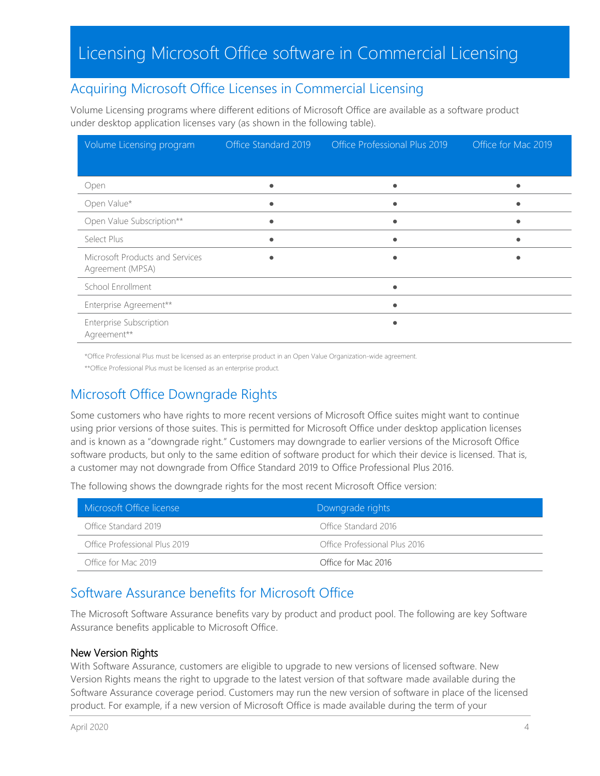### <span id="page-3-0"></span>Acquiring Microsoft Office Licenses in Commercial Licensing

Volume Licensing programs where different editions of Microsoft Office are available as a software product under desktop application licenses vary (as shown in the following table).

| Volume Licensing program                            | Office Standard 2019 | <b>Office Professional Plus 2019</b> | Office for Mac 2019 |
|-----------------------------------------------------|----------------------|--------------------------------------|---------------------|
|                                                     |                      |                                      |                     |
| Open                                                |                      |                                      |                     |
| Open Value*                                         |                      |                                      |                     |
| Open Value Subscription**                           | $\bullet$            |                                      |                     |
| Select Plus                                         | $\bullet$            |                                      |                     |
| Microsoft Products and Services<br>Agreement (MPSA) |                      |                                      |                     |
| School Enrollment                                   |                      |                                      |                     |
| Enterprise Agreement**                              |                      |                                      |                     |
| Enterprise Subscription<br>Agreement**              |                      |                                      |                     |

\*Office Professional Plus must be licensed as an enterprise product in an Open Value Organization-wide agreement.

\*\*Office Professional Plus must be licensed as an enterprise product.

### <span id="page-3-1"></span>Microsoft Office Downgrade Rights

Some customers who have rights to more recent versions of Microsoft Office suites might want to continue using prior versions of those suites. This is permitted for Microsoft Office under desktop application licenses and is known as a "downgrade right." Customers may downgrade to earlier versions of the Microsoft Office software products, but only to the same edition of software product for which their device is licensed. That is, a customer may not downgrade from Office Standard 2019 to Office Professional Plus 2016.

The following shows the downgrade rights for the most recent Microsoft Office version:

| Microsoft Office license      | Downgrade rights              |
|-------------------------------|-------------------------------|
| Office Standard 2019          | Office Standard 2016          |
| Office Professional Plus 2019 | Office Professional Plus 2016 |
| Office for Mac 2019           | Office for Mac 2016           |

### <span id="page-3-2"></span>Software Assurance benefits for Microsoft Office

The Microsoft Software Assurance benefits vary by product and product pool. The following are key Software Assurance benefits applicable to Microsoft Office.

#### New Version Rights

With Software Assurance, customers are eligible to upgrade to new versions of licensed software. New Version Rights means the right to upgrade to the latest version of that software made available during the Software Assurance coverage period. Customers may run the new version of software in place of the licensed product. For example, if a new version of Microsoft Office is made available during the term of your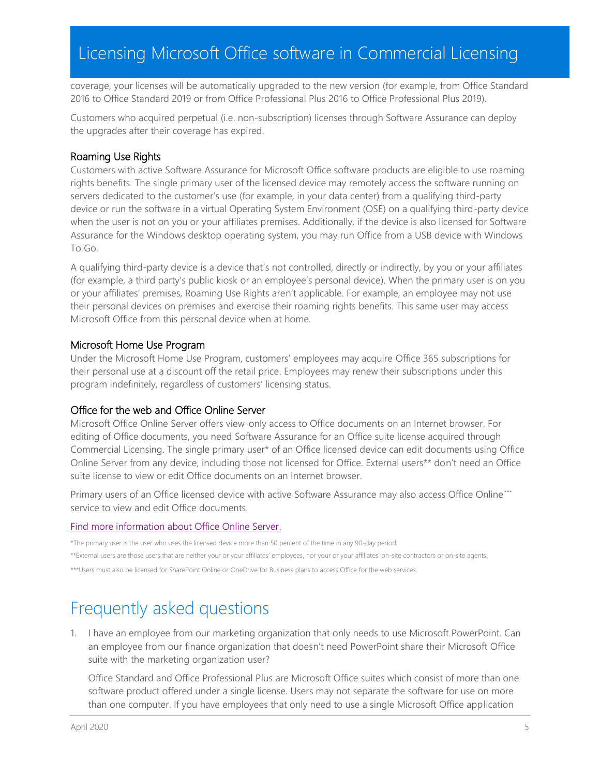coverage, your licenses will be automatically upgraded to the new version (for example, from Office Standard 2016 to Office Standard 2019 or from Office Professional Plus 2016 to Office Professional Plus 2019).

Customers who acquired perpetual (i.e. non-subscription) licenses through Software Assurance can deploy the upgrades after their coverage has expired.

#### Roaming Use Rights

Customers with active Software Assurance for Microsoft Office software products are eligible to use roaming rights benefits. The single primary user of the licensed device may remotely access the software running on servers dedicated to the customer's use (for example, in your data center) from a qualifying third-party device or run the software in a virtual Operating System Environment (OSE) on a qualifying third-party device when the user is not on you or your affiliates premises. Additionally, if the device is also licensed for Software Assurance for the Windows desktop operating system, you may run Office from a USB device with Windows To Go.

A qualifying third-party device is a device that's not controlled, directly or indirectly, by you or your affiliates (for example, a third party's public kiosk or an employee's personal device). When the primary user is on you or your affiliates' premises, Roaming Use Rights aren't applicable. For example, an employee may not use their personal devices on premises and exercise their roaming rights benefits. This same user may access Microsoft Office from this personal device when at home.

#### Microsoft Home Use Program

Under the Microsoft Home Use Program, customers' employees may acquire Office 365 subscriptions for their personal use at a discount off the retail price. Employees may renew their subscriptions under this program indefinitely, regardless of customers' licensing status.

#### Office for the web and Office Online Server

Microsoft Office Online Server offers view-only access to Office documents on an Internet browser. For editing of Office documents, you need Software Assurance for an Office suite license acquired through Commercial Licensing. The single primary user\* of an Office licensed device can edit documents using Office Online Server from any device, including those not licensed for Office. External users\*\* don't need an Office suite license to view or edit Office documents on an Internet browser.

Primary users of an Office licensed device with active Software Assurance may also access Office Online\*\*\* service to view and edit Office documents.

#### [Find more information about Office Online Server.](https://blogs.office.com/2016/05/04/office-online-server-now-available/)

\*The primary user is the user who uses the licensed device more than 50 percent of the time in any 90-day period. \*\*External users are those users that are neither your or your affiliates' employees, nor your or your affiliates' on-site contractors or on-site agents.

<span id="page-4-0"></span>\*\*\*Users must also be licensed for SharePoint Online or OneDrive for Business plans to access Office for the web services.

## Frequently asked questions

1. I have an employee from our marketing organization that only needs to use Microsoft PowerPoint. Can an employee from our finance organization that doesn't need PowerPoint share their Microsoft Office suite with the marketing organization user?

Office Standard and Office Professional Plus are Microsoft Office suites which consist of more than one software product offered under a single license. Users may not separate the software for use on more than one computer. If you have employees that only need to use a single Microsoft Office application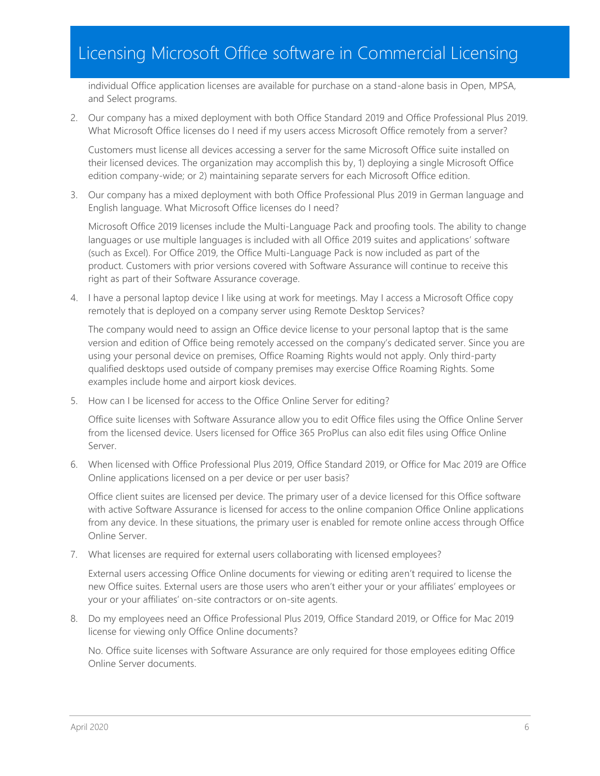individual Office application licenses are available for purchase on a stand-alone basis in Open, MPSA, and Select programs.

2. Our company has a mixed deployment with both Office Standard 2019 and Office Professional Plus 2019. What Microsoft Office licenses do I need if my users access Microsoft Office remotely from a server?

Customers must license all devices accessing a server for the same Microsoft Office suite installed on their licensed devices. The organization may accomplish this by, 1) deploying a single Microsoft Office edition company-wide; or 2) maintaining separate servers for each Microsoft Office edition.

3. Our company has a mixed deployment with both Office Professional Plus 2019 in German language and English language. What Microsoft Office licenses do I need?

Microsoft Office 2019 licenses include the Multi-Language Pack and proofing tools. The ability to change languages or use multiple languages is included with all Office 2019 suites and applications' software (such as Excel). For Office 2019, the Office Multi-Language Pack is now included as part of the product. Customers with prior versions covered with Software Assurance will continue to receive this right as part of their Software Assurance coverage.

4. I have a personal laptop device I like using at work for meetings. May I access a Microsoft Office copy remotely that is deployed on a company server using Remote Desktop Services?

The company would need to assign an Office device license to your personal laptop that is the same version and edition of Office being remotely accessed on the company's dedicated server. Since you are using your personal device on premises, Office Roaming Rights would not apply. Only third-party qualified desktops used outside of company premises may exercise Office Roaming Rights. Some examples include home and airport kiosk devices.

5. How can I be licensed for access to the Office Online Server for editing?

Office suite licenses with Software Assurance allow you to edit Office files using the Office Online Server from the licensed device. Users licensed for Office 365 ProPlus can also edit files using Office Online Server.

6. When licensed with Office Professional Plus 2019, Office Standard 2019, or Office for Mac 2019 are Office Online applications licensed on a per device or per user basis?

Office client suites are licensed per device. The primary user of a device licensed for this Office software with active Software Assurance is licensed for access to the online companion Office Online applications from any device. In these situations, the primary user is enabled for remote online access through Office Online Server.

7. What licenses are required for external users collaborating with licensed employees?

External users accessing Office Online documents for viewing or editing aren't required to license the new Office suites. External users are those users who aren't either your or your affiliates' employees or your or your affiliates' on-site contractors or on-site agents.

8. Do my employees need an Office Professional Plus 2019, Office Standard 2019, or Office for Mac 2019 license for viewing only Office Online documents?

No. Office suite licenses with Software Assurance are only required for those employees editing Office Online Server documents.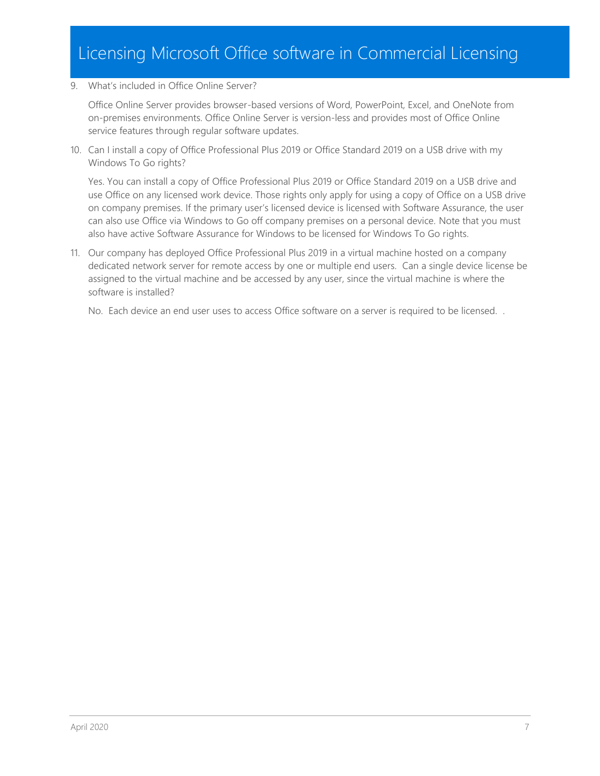#### 9. What's included in Office Online Server?

Office Online Server provides browser-based versions of Word, PowerPoint, Excel, and OneNote from on-premises environments. Office Online Server is version-less and provides most of Office Online service features through regular software updates.

10. Can I install a copy of Office Professional Plus 2019 or Office Standard 2019 on a USB drive with my Windows To Go rights?

Yes. You can install a copy of Office Professional Plus 2019 or Office Standard 2019 on a USB drive and use Office on any licensed work device. Those rights only apply for using a copy of Office on a USB drive on company premises. If the primary user's licensed device is licensed with Software Assurance, the user can also use Office via Windows to Go off company premises on a personal device. Note that you must also have active Software Assurance for Windows to be licensed for Windows To Go rights.

11. Our company has deployed Office Professional Plus 2019 in a virtual machine hosted on a company dedicated network server for remote access by one or multiple end users. Can a single device license be assigned to the virtual machine and be accessed by any user, since the virtual machine is where the software is installed?

No. Each device an end user uses to access Office software on a server is required to be licensed. .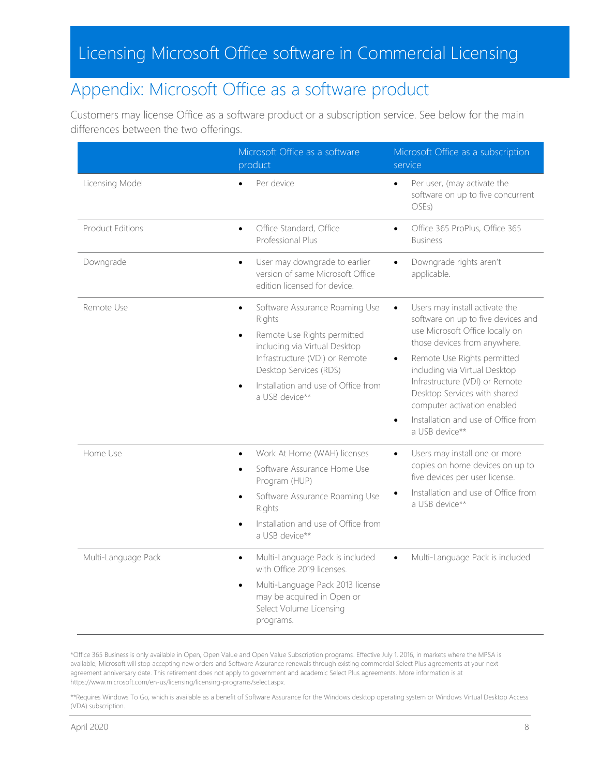## <span id="page-7-0"></span>Appendix: Microsoft Office as a software product

Customers may license Office as a software product or a subscription service. See below for the main differences between the two offerings.

|                         | Microsoft Office as a software<br>product                                                                                                                                                                                                  | Microsoft Office as a subscription<br>service                                                                                                                                                                                                                                                                                                                                               |
|-------------------------|--------------------------------------------------------------------------------------------------------------------------------------------------------------------------------------------------------------------------------------------|---------------------------------------------------------------------------------------------------------------------------------------------------------------------------------------------------------------------------------------------------------------------------------------------------------------------------------------------------------------------------------------------|
| Licensing Model         | Per device                                                                                                                                                                                                                                 | Per user, (may activate the<br>$\bullet$<br>software on up to five concurrent<br>OSEs)                                                                                                                                                                                                                                                                                                      |
| <b>Product Editions</b> | Office Standard, Office<br>$\bullet$<br>Professional Plus                                                                                                                                                                                  | Office 365 ProPlus, Office 365<br><b>Business</b>                                                                                                                                                                                                                                                                                                                                           |
| Downgrade               | User may downgrade to earlier<br>$\bullet$<br>version of same Microsoft Office<br>edition licensed for device.                                                                                                                             | Downgrade rights aren't<br>$\bullet$<br>applicable.                                                                                                                                                                                                                                                                                                                                         |
| Remote Use              | Software Assurance Roaming Use<br>$\bullet$<br>Rights<br>Remote Use Rights permitted<br>including via Virtual Desktop<br>Infrastructure (VDI) or Remote<br>Desktop Services (RDS)<br>Installation and use of Office from<br>a USB device** | Users may install activate the<br>$\bullet$<br>software on up to five devices and<br>use Microsoft Office locally on<br>those devices from anywhere.<br>Remote Use Rights permitted<br>including via Virtual Desktop<br>Infrastructure (VDI) or Remote<br>Desktop Services with shared<br>computer activation enabled<br>Installation and use of Office from<br>$\bullet$<br>a USB device** |
| Home Use                | Work At Home (WAH) licenses<br>$\bullet$<br>Software Assurance Home Use<br>Program (HUP)<br>Software Assurance Roaming Use<br>Rights<br>Installation and use of Office from<br>a USB device**                                              | Users may install one or more<br>$\bullet$<br>copies on home devices on up to<br>five devices per user license.<br>Installation and use of Office from<br>a USB device**                                                                                                                                                                                                                    |
| Multi-Language Pack     | Multi-Language Pack is included<br>$\bullet$<br>with Office 2019 licenses.<br>Multi-Language Pack 2013 license<br>$\bullet$<br>may be acquired in Open or<br>Select Volume Licensing<br>programs.                                          | Multi-Language Pack is included                                                                                                                                                                                                                                                                                                                                                             |

\*Office 365 Business is only available in Open, Open Value and Open Value Subscription programs. Effective July 1, 2016, in markets where the MPSA is available, Microsoft will stop accepting new orders and Software Assurance renewals through existing commercial Select Plus agreements at your next agreement anniversary date. This retirement does not apply to government and academic Select Plus agreements. More information is at https://www.microsoft.com/en-us/licensing/licensing-programs/select.aspx.

\*\*Requires Windows To Go, which is available as a benefit of Software Assurance for the Windows desktop operating system or Windows Virtual Desktop Access (VDA) subscription.